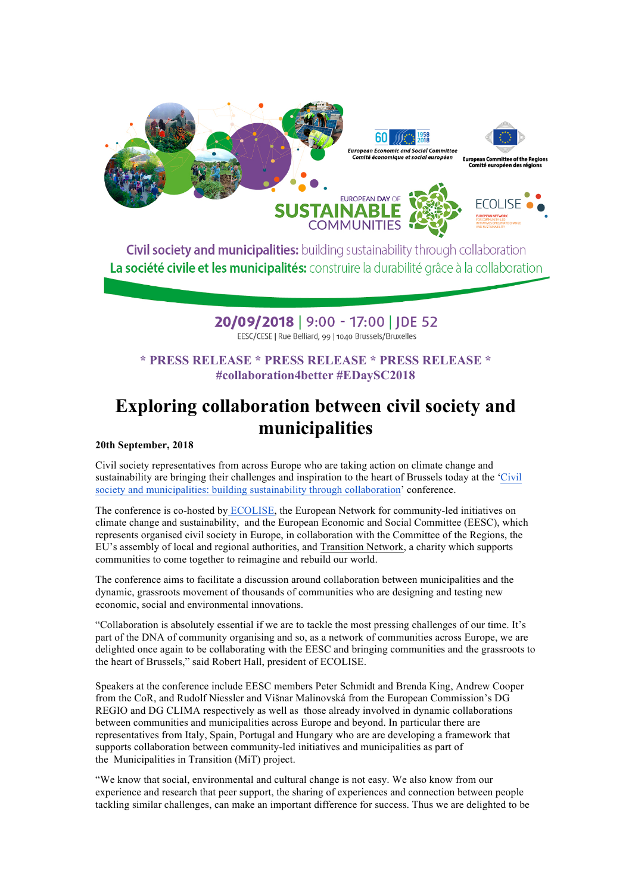

**Civil society and municipalities:** building sustainability through collaboration La société civile et les municipalités: construire la durabilité grâce à la collaboration

## 20/09/2018 | 9:00 - 17:00 | JDE 52 EESC/CESE | Rue Belliard, 99 | 1040 Brussels/Bruxelles

### **\* PRESS RELEASE \* PRESS RELEASE \* PRESS RELEASE \* #collaboration4better #EDaySC2018**

# **Exploring collaboration between civil society and municipalities**

### **20th September, 2018**

Civil society representatives from across Europe who are taking action on climate change and sustainability are bringing their challenges and inspiration to the heart of Brussels today at the 'Civil society and municipalities: building sustainability through collaboration' conference.

The conference is co-hosted by ECOLISE, the European Network for community-led initiatives on climate change and sustainability, and the European Economic and Social Committee (EESC), which represents organised civil society in Europe, in collaboration with the Committee of the Regions, the EU's assembly of local and regional authorities, and Transition Network, a charity which supports communities to come together to reimagine and rebuild our world.

The conference aims to facilitate a discussion around collaboration between municipalities and the dynamic, grassroots movement of thousands of communities who are designing and testing new economic, social and environmental innovations.

"Collaboration is absolutely essential if we are to tackle the most pressing challenges of our time. It's part of the DNA of community organising and so, as a network of communities across Europe, we are delighted once again to be collaborating with the EESC and bringing communities and the grassroots to the heart of Brussels," said Robert Hall, president of ECOLISE.

Speakers at the conference include EESC members Peter Schmidt and Brenda King, Andrew Cooper from the CoR, and Rudolf Niessler and Višnar Malinovská from the European Commission's DG REGIO and DG CLIMA respectively as well as those already involved in dynamic collaborations between communities and municipalities across Europe and beyond. In particular there are representatives from Italy, Spain, Portugal and Hungary who are are developing a framework that supports collaboration between community-led initiatives and municipalities as part of the Municipalities in Transition (MiT) project.

"We know that social, environmental and cultural change is not easy. We also know from our experience and research that peer support, the sharing of experiences and connection between people tackling similar challenges, can make an important difference for success. Thus we are delighted to be